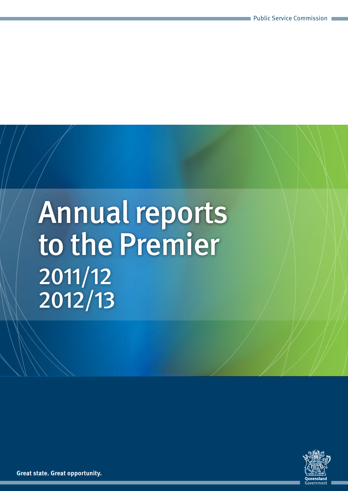# Annual reports to the Premier 2011/12 2012/13



**Great state. Great opportunity.**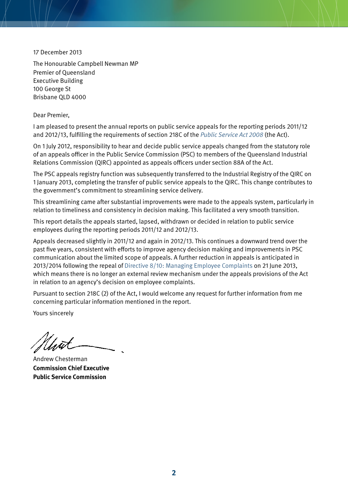17 December 2013

The Honourable Campbell Newman MP Premier of Queensland Executive Building 100 George St Brisbane QLD 4000

Dear Premier,

I am pleased to present the annual reports on public service appeals for the reporting periods 2011/12 and 2012/13, fulfilling the requirements of section 218C of the [Public Service Act 2008](https://www.legislation.qld.gov.au/LEGISLTN/CURRENT/P/PublicServA08.pdf) (the Act).

On 1 July 2012, responsibility to hear and decide public service appeals changed from the statutory role of an appeals officer in the Public Service Commission (PSC) to members of the Queensland Industrial Relations Commission (QIRC) appointed as appeals officers under section 88A of the Act.

The PSC appeals registry function was subsequently transferred to the Industrial Registry of the QIRC on 1 January 2013, completing the transfer of public service appeals to the QIRC. This change contributes to the government's commitment to streamlining service delivery.

This streamlining came after substantial improvements were made to the appeals system, particularly in relation to timeliness and consistency in decision making. This facilitated a very smooth transition.

This report details the appeals started, lapsed, withdrawn or decided in relation to public service employees during the reporting periods 2011/12 and 2012/13.

Appeals decreased slightly in 2011/12 and again in 2012/13. This continues a downward trend over the past five years, consistent with efforts to improve agency decision making and improvements in PSC communication about the limited scope of appeals. A further reduction in appeals is anticipated in 2013/2014 following the repeal of [Directive 8/10: Managing Employee Complaints](http://www.psc.qld.gov.au/publications/directives/assets/2010-8-managing-employee-complaints.pdf) on 21 June 2013, which means there is no longer an external review mechanism under the appeals provisions of the [Act](https://www.legislation.qld.gov.au/LEGISLTN/CURRENT/P/PublicServA08.pdf) in relation to an agency's decision on employee complaints.

Pursuant to section 218C (2) of the Act, I would welcome any request for further information from me concerning particular information mentioned in the report.

Yours sincerely

Andrew Chesterman **Commission Chief Executive Public Service Commission**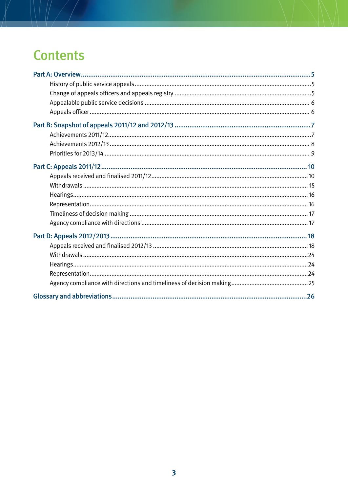# **Contents**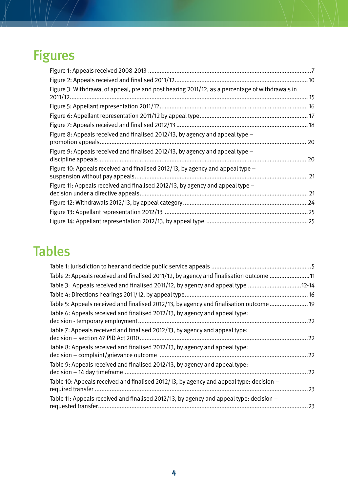# Figures

| Figure 3: Withdrawal of appeal, pre and post hearing 2011/12, as a percentage of withdrawals in |  |
|-------------------------------------------------------------------------------------------------|--|
| 2011/12                                                                                         |  |
|                                                                                                 |  |
|                                                                                                 |  |
|                                                                                                 |  |
| Figure 8: Appeals received and finalised 2012/13, by agency and appeal type -                   |  |
|                                                                                                 |  |
| Figure 9: Appeals received and finalised 2012/13, by agency and appeal type $-$                 |  |
|                                                                                                 |  |
| Figure 10: Appeals received and finalised 2012/13, by agency and appeal type -                  |  |
|                                                                                                 |  |
| Figure 11: Appeals received and finalised 2012/13, by agency and appeal type $-$                |  |
|                                                                                                 |  |
|                                                                                                 |  |
|                                                                                                 |  |
|                                                                                                 |  |

# Tables

| Table 2: Appeals received and finalised 2011/12, by agency and finalisation outcome 11    |     |
|-------------------------------------------------------------------------------------------|-----|
| Table 3: Appeals received and finalised 2011/12, by agency and appeal type 12-14          |     |
|                                                                                           |     |
| Table 5: Appeals received and finalised 2012/13, by agency and finalisation outcome  19   |     |
| Table 6: Appeals received and finalised 2012/13, by agency and appeal type:               | .22 |
| Table 7: Appeals received and finalised 2012/13, by agency and appeal type:               | 22  |
| Table 8: Appeals received and finalised 2012/13, by agency and appeal type:               | .22 |
| Table 9: Appeals received and finalised 2012/13, by agency and appeal type:               | .22 |
| Table 10: Appeals received and finalised 2012/13, by agency and appeal type: decision $-$ | .23 |
| Table 11: Appeals received and finalised 2012/13, by agency and appeal type: decision $-$ | .23 |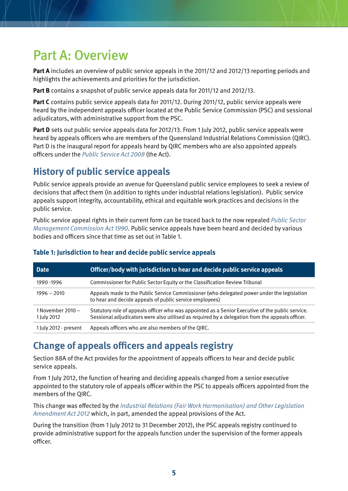# <span id="page-4-0"></span>Part A: Overview

**Part A** includes an overview of public service appeals in the 2011/12 and 2012/13 reporting periods and highlights the achievements and priorities for the jurisdiction.

**Part B** contains a snapshot of public service appeals data for 2011/12 and 2012/13.

**Part C** contains public service appeals data for 2011/12. During 2011/12, public service appeals were heard by the independent appeals officer located at the Public Service Commission (PSC) and sessional adjudicators, with administrative support from the PSC.

**Part D** sets out public service appeals data for 2012/13. From 1 July 2012, public service appeals were heard by appeals officers who are members of the Queensland Industrial Relations Commission (QIRC). Part D is the inaugural report for appeals heard by QIRC members who are also appointed appeals officers under the [Public Service Act 2008](https://www.legislation.qld.gov.au/LEGISLTN/CURRENT/P/PublicServA08.pdf) (the Act).

# **History of public service appeals**

Public service appeals provide an avenue for Queensland public service employees to seek a review of decisions that affect them (in addition to rights under industrial relations legislation). Public service appeals support integrity, accountability, ethical and equitable work practices and decisions in the public service.

Public service appeal rights in their current form can be traced back to the now repealed [Public Sector](https://www.legislation.qld.gov.au/LEGISLTN/REPEALED/P/PublicSecManCA90_01_.pdf)  [Management Commission Act 1990](https://www.legislation.qld.gov.au/LEGISLTN/REPEALED/P/PublicSecManCA90_01_.pdf). Public service appeals have been heard and decided by various bodies and officers since that time as set out in Table 1.

| <b>Date</b>                      | Officer/body with jurisdiction to hear and decide public service appeals                                                                                                                            |
|----------------------------------|-----------------------------------------------------------------------------------------------------------------------------------------------------------------------------------------------------|
| 1990 - 1996                      | Commissioner for Public Sector Equity or the Classification Review Tribunal                                                                                                                         |
| $1996 - 2010$                    | Appeals made to the Public Service Commissioner (who delegated power under the legislation<br>to hear and decide appeals of public service employees)                                               |
| 1 November 2010 -<br>1 July 2012 | Statutory role of appeals officer who was appointed as a Senior Executive of the public service.<br>Sessional adjudicators were also utilised as required by a delegation from the appeals officer. |
| 1 July 2012 - present            | Appeals officers who are also members of the QIRC.                                                                                                                                                  |

#### **Table 1: Jurisdiction to hear and decide public service appeals**

# **Change of appeals officers and appeals registry**

Section 88A of the Act provides for the appointment of appeals officers to hear and decide public service appeals.

From 1 July 2012, the function of hearing and deciding appeals changed from a senior executive appointed to the statutory role of appeals officer within the PSC to appeals officers appointed from the members of the QIRC.

This change was effected by the [Industrial Relations \(Fair Work Harmonisation\) and Other Legislation](https://www.legislation.qld.gov.au/LEGISLTN/ACTS/2012/12AC007.pdf)  [Amendment Act 2012](https://www.legislation.qld.gov.au/LEGISLTN/ACTS/2012/12AC007.pdf) which, in part, amended the appeal provisions of the Act.

During the transition (from 1 July 2012 to 31 December 2012), the PSC appeals registry continued to provide administrative support for the appeals function under the supervision of the former appeals officer.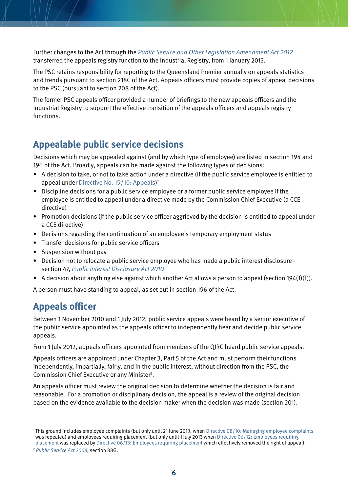<span id="page-5-0"></span>Further changes to the Act through the [Public Service and Other Legislation Amendment Act 2012](https://www.legislation.qld.gov.au/LEGISLTN/ACTS/2012/12AC022.pdf) transferred the appeals registry function to the Industrial Registry, from 1 January 2013.

The PSC retains responsibility for reporting to the Queensland Premier annually on appeals statistics and trends pursuant to section 218C of the Act. Appeals officers must provide copies of appeal decisions to the PSC (pursuant to section 208 of the Act).

The former PSC appeals officer provided a number of briefings to the new appeals officers and the Industrial Registry to support the effective transition of the appeals officers and appeals registry functions.

### **Appealable public service decisions**

Decisions which may be appealed against (and by which type of employee) are listed in section 194 and 196 of the Act. Broadly, appeals can be made against the following types of decisions:

- • A decision to take, or not to take action under a directive (if the public service employee is entitled to appeal under [Directive No. 19/10: Appeals\)](http://www.psc.qld.gov.au/publications/directives/assets/2010-19-appeals.pdf) 1
- Discipline decisions for a public service employee or a former public service employee if the employee is entitled to appeal under a directive made by the Commission Chief Executive (a CCE directive)
- Promotion decisions (if the public service officer aggrieved by the decision is entitled to appeal under a CCE directive)
- Decisions regarding the continuation of an employee's temporary employment status
- Transfer decisions for public service officers
- Suspension without pay
- Decision not to relocate a public service employee who has made a public interest disclosure section 47, [Public Interest Disclosure Act 2010](https://www.legislation.qld.gov.au/LEGISLTN/CURRENT/P/PubIntDisA10.pdf)
- A decision about anything else against which another Act allows a person to appeal (section 194(1)(f)).

A person must have standing to appeal, as set out in section 196 of the Act.

# **Appeals officer**

Between 1 November 2010 and 1 July 2012, public service appeals were heard by a senior executive of the public service appointed as the appeals officer to independently hear and decide public service appeals.

From 1 July 2012, appeals officers appointed from members of the QIRC heard public service appeals.

Appeals officers are appointed under Chapter 3, Part 5 of the Act and must perform their functions independently, impartially, fairly, and in the public interest, without direction from the PSC, the Commission Chief Executive or any Minister2 .

An appeals officer must review the original decision to determine whether the decision is fair and reasonable. For a promotion or disciplinary decision, the appeal is a review of the original decision based on the evidence available to the decision maker when the decision was made (section 201).

<sup>1</sup> This ground includes employee complaints (but only until 21 June 2013, when [Directive 08/10: Managing employee complaints](http://www.psc.qld.gov.au/publications/directives/assets/2010-8-managing-employee-complaints.pdf) was repealed) and employees requiring placement (but only until 1 July 2013 when [Directive 06/12: Employees requiring](http://www.psc.qld.gov.au/publications/directives/assets/2012-6-employees-requiring-placement_2.pdf)  [placement](http://www.psc.qld.gov.au/publications/directives/assets/2012-6-employees-requiring-placement_2.pdf) was replaced by [Directive 06/13: Employees requiring placement](http://www.psc.qld.gov.au/publications/directives/assets/2013-6-employees-requiring-placement-directive.pdf) which effectively removed the right of appeal).

<sup>2</sup> [Public Service Act 2008](https://www.legislation.qld.gov.au/LEGISLTN/CURRENT/P/PublicServA08.pdf), section 88G.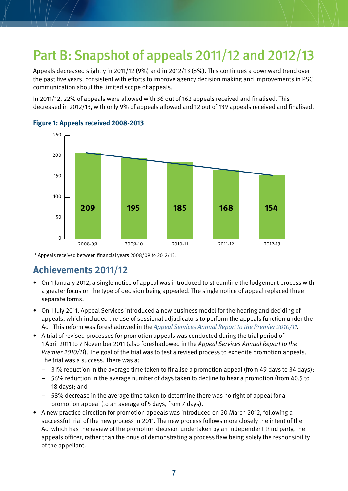# <span id="page-6-0"></span>Part B: Snapshot of appeals 2011/12 and 2012/13

Appeals decreased slightly in 2011/12 (9%) and in 2012/13 (8%). This continues a downward trend over the past five years, consistent with efforts to improve agency decision making and improvements in PSC communication about the limited scope of appeals.

In 2011/12, 22% of appeals were allowed with 36 out of 162 appeals received and finalised. This decreased in 2012/13, with only 9% of appeals allowed and 12 out of 139 appeals received and finalised.



#### **Figure 1: Appeals received 2008-2013**

\* Appeals received between financial years 2008/09 to 2012/13.

# **Achievements 2011/12**

- • On 1 January 2012, a single notice of appeal was introduced to streamline the lodgement process with a greater focus on the type of decision being appealed. The single notice of appeal replaced three separate forms.
- • On 1 July 2011, Appeal Services introduced a new business model for the hearing and deciding of appeals, which included the use of sessional adjudicators to perform the appeals function under the Act. This reform was foreshadowed in the [Appeal Services Annual Report to the Premier 2010/11](http://www.psc.qld.gov.au/publications/subject-specific-publications/assets/Appeals_services_premiers_report_v4.pdf).
- • A trial of revised processes for promotion appeals was conducted during the trial period of 1 April 2011 to 7 November 2011 (also foreshadowed in the Appeal Services Annual Report to the Premier 2010/11). The goal of the trial was to test a revised process to expedite promotion appeals. The trial was a success. There was a:
	- 31% reduction in the average time taken to finalise a promotion appeal (from 49 days to 34 days);
	- 56% reduction in the average number of days taken to decline to hear a promotion (from 40.5 to 18 days); and
	- 58% decrease in the average time taken to determine there was no right of appeal for a promotion appeal (to an average of 5 days, from 7 days).
- A new practice direction for promotion appeals was introduced on 20 March 2012, following a successful trial of the new process in 2011. The new process follows more closely the intent of the Act which has the review of the promotion decision undertaken by an independent third party, the appeals officer, rather than the onus of demonstrating a process flaw being solely the responsibility of the appellant.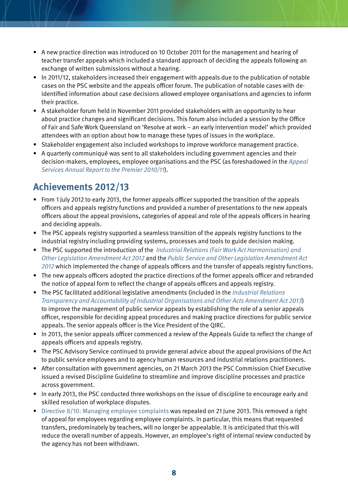- <span id="page-7-0"></span>• A new practice direction was introduced on 10 October 2011 for the management and hearing of teacher transfer appeals which included a standard approach of deciding the appeals following an exchange of written submissions without a hearing.
- In 2011/12, stakeholders increased their engagement with appeals due to the publication of notable cases on the PSC website and the appeals officer forum. The publication of notable cases with deidentified information about case decisions allowed employee organisations and agencies to inform their practice.
- A stakeholder forum held in November 2011 provided stakeholders with an opportunity to hear about practice changes and significant decisions. This forum also included a session by the Office of Fair and Safe Work Queensland on 'Resolve at work – an early intervention model' which provided attendees with an option about how to manage these types of issues in the workplace.
- Stakeholder engagement also included workshops to improve workforce management practice.
- • A quarterly communiqué was sent to all stakeholders including government agencies and their decision-makers, employees, employee organisations and the PSC (as foreshadowed in the [Appeal](http://www.psc.qld.gov.au/publications/subject-specific-publications/assets/Appeals_services_premiers_report_v4.pdf)  [Services Annual Report to the Premier 2010/11](http://www.psc.qld.gov.au/publications/subject-specific-publications/assets/Appeals_services_premiers_report_v4.pdf)).

# **Achievements 2012/13**

- From 1 July 2012 to early 2013, the former appeals officer supported the transition of the appeals officers and appeals registry functions and provided a number of presentations to the new appeals officers about the appeal provisions, categories of appeal and role of the appeals officers in hearing and deciding appeals.
- The PSC appeals registry supported a seamless transition of the appeals registry functions to the industrial registry including providing systems, processes and tools to guide decision making.
- The PSC supported the introduction of the Industrial Relations (Fair Work Act Harmonisation) and [Other Legislation Amendment Act 2012](https://www.legislation.qld.gov.au/LEGISLTN/ACTS/2012/12AC007.pdf) and the [Public Service and Other Legislation Amendment Act](https://www.legislation.qld.gov.au/LEGISLTN/ACTS/2012/12AC022.pdf)  [2012](https://www.legislation.qld.gov.au/LEGISLTN/ACTS/2012/12AC022.pdf) which implemented the change of appeals officers and the transfer of appeals registry functions.
- The new appeals officers adopted the practice directions of the former appeals officer and rebranded the notice of appeal form to reflect the change of appeals officers and appeals registry.
- The PSC facilitated additional legislative amendments (included in the Industrial Relations [Transparency and Accountability of Industrial Organisations and Other Acts Amendment Act 2013](https://www.legislation.qld.gov.au/LEGISLTN/ACTS/2013/13AC029.pdf)) to improve the management of public service appeals by establishing the role of a senior appeals officer, responsible for deciding appeal procedures and making practice directions for public service appeals. The senior appeals officer is the Vice President of the QIRC.
- In 2013, the senior appeals officer commenced a review of the Appeals Guide to reflect the change of appeals officers and appeals registry.
- The PSC Advisory Service continued to provide general advice about the appeal provisions of the Act to public service employees and to agency human resources and industrial relations practitioners.
- • After consultation with government agencies, on 21 March 2013 the PSC Commission Chief Executive issued a revised Discipline Guideline to streamline and improve discipline processes and practice across government.
- In early 2013, the PSC conducted three workshops on the issue of discipline to encourage early and skilled resolution of workplace disputes.
- [Directive 8/10: Managing employee complaints](http://www.psc.qld.gov.au/publications/directives/assets/2010-8-managing-employee-complaints.pdf) was repealed on 21 June 2013. This removed a right of appeal for employees regarding employee complaints. In particular, this means that requested transfers, predominately by teachers, will no longer be appealable. It is anticipated that this will reduce the overall number of appeals. However, an employee's right of internal review conducted by the agency has not been withdrawn.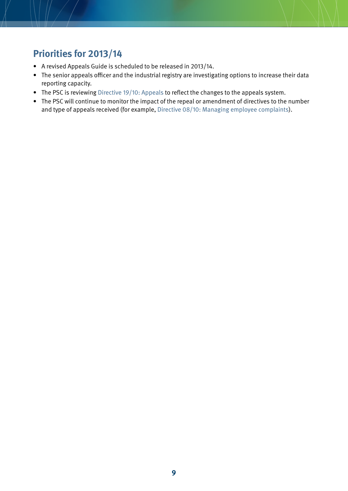# <span id="page-8-0"></span>**Priorities for 2013/14**

- • A revised Appeals Guide is scheduled to be released in 2013/14.
- The senior appeals officer and the industrial registry are investigating options to increase their data reporting capacity.
- The PSC is reviewing [Directive 19/10: Appeals](http://www.psc.qld.gov.au/publications/directives/assets/2010-19-appeals.pdf) to reflect the changes to the appeals system.
- The PSC will continue to monitor the impact of the repeal or amendment of directives to the number and type of appeals received ([for example, Directive 08/10: Managing employee complaints\)](http://www.psc.qld.gov.au/publications/directives/assets/2010-8-managing-employee-complaints.pdf).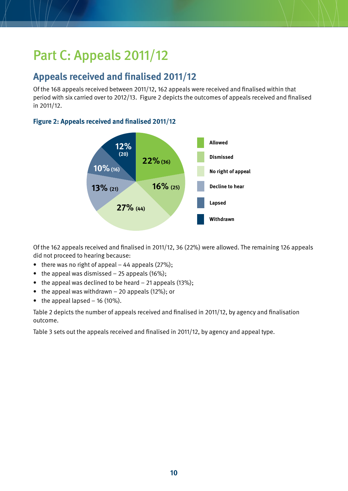# <span id="page-9-0"></span>Part C: Appeals 2011/12

# **Appeals received and finalised 2011/12**

Of the 168 appeals received between 2011/12, 162 appeals were received and finalised within that period with six carried over to 2012/13. Figure 2 depicts the outcomes of appeals received and finalised in 2011/12.

#### **Figure 2: Appeals received and finalised 2011/12**



Of the 162 appeals received and finalised in 2011/12, 36 (22%) were allowed. The remaining 126 appeals did not proceed to hearing because:

- there was no right of appeal 44 appeals  $(27\%)$ ;
- the appeal was dismissed  $-25$  appeals (16%);
- the appeal was declined to be heard  $-$  21 appeals (13%);
- $\bullet$  the appeal was withdrawn 20 appeals (12%); or
- the appeal lapsed  $-16$  (10%).

Table 2 depicts the number of appeals received and finalised in 2011/12, by agency and finalisation outcome.

Table 3 sets out the appeals received and finalised in 2011/12, by agency and appeal type.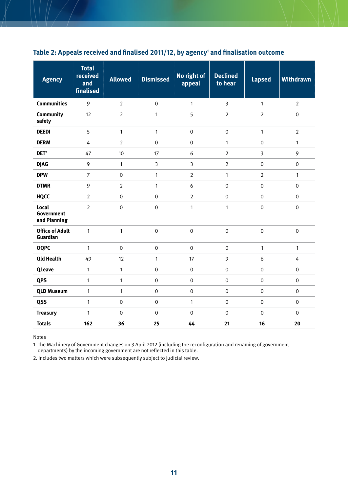| <b>Agency</b>                             | <b>Total</b><br>received<br>and<br>finalised | <b>Allowed</b>   | <b>Dismissed</b> | No right of<br>appeal | <b>Declined</b><br>to hear | <b>Lapsed</b>  | <b>Withdrawn</b> |
|-------------------------------------------|----------------------------------------------|------------------|------------------|-----------------------|----------------------------|----------------|------------------|
| <b>Communities</b>                        | 9                                            | $\overline{2}$   | $\boldsymbol{0}$ | $\mathbf{1}$          | $\overline{3}$             | $\mathbf{1}$   | $\overline{2}$   |
| Community<br>safety                       | 12                                           | $\overline{2}$   | $\mathbf{1}$     | 5                     | $\overline{2}$             | $\overline{2}$ | $\mathbf 0$      |
| <b>DEEDI</b>                              | 5                                            | $\mathbf{1}$     | $\mathbf{1}$     | $\boldsymbol{0}$      | $\mathbf 0$                | $\mathbf{1}$   | $\overline{2}$   |
| <b>DERM</b>                               | 4                                            | $\overline{2}$   | $\mathbf 0$      | $\mathbf 0$           | $\mathbf{1}$               | $\mathbf 0$    | $\mathbf{1}$     |
| DEF <sup>2</sup>                          | 47                                           | 10               | 17               | 6                     | $\overline{2}$             | $\overline{3}$ | 9                |
| <b>DJAG</b>                               | 9                                            | $\mathbf{1}$     | 3                | $\mathbf{3}$          | $\overline{2}$             | $\mathbf{0}$   | $\mathbf 0$      |
| <b>DPW</b>                                | $\overline{7}$                               | $\mathbf 0$      | $\mathbf{1}$     | $\overline{2}$        | $\mathbf{1}$               | $\overline{2}$ | $\mathbf{1}$     |
| <b>DTMR</b>                               | 9                                            | $\overline{2}$   | $\mathbf{1}$     | 6                     | $\mathbf 0$                | $\mathbf 0$    | $\boldsymbol{0}$ |
| <b>HQCC</b>                               | $\overline{2}$                               | $\mathbf 0$      | $\mathbf 0$      | $\overline{2}$        | $\mathbf 0$                | $\mathbf 0$    | $\boldsymbol{0}$ |
| Local<br>Government<br>and Planning       | $\overline{2}$                               | $\mathbf 0$      | $\mathbf 0$      | $\mathbf{1}$          | $\mathbf{1}$               | $\mathbf 0$    | $\boldsymbol{0}$ |
| <b>Office of Adult</b><br><b>Guardian</b> | $\mathbf{1}$                                 | $\mathbf{1}$     | $\boldsymbol{0}$ | $\mathbf 0$           | $\mathbf 0$                | $\mathbf 0$    | $\boldsymbol{0}$ |
| <b>OQPC</b>                               | $\mathbf{1}$                                 | $\mathbf 0$      | $\mathbf 0$      | $\boldsymbol{0}$      | $\mathbf 0$                | 1              | $\mathbf{1}$     |
| <b>Qld Health</b>                         | 49                                           | 12               | $\mathbf{1}$     | 17                    | 9                          | 6              | 4                |
| <b>QLeave</b>                             | $\mathbf{1}$                                 | $\mathbf{1}$     | $\boldsymbol{0}$ | $\pmb{0}$             | $\boldsymbol{0}$           | $\mathbf 0$    | $\boldsymbol{0}$ |
| <b>QPS</b>                                | $\mathbf{1}$                                 | $\mathbf{1}$     | $\mathbf 0$      | $\mathbf 0$           | $\boldsymbol{0}$           | $\mathbf 0$    | $\pmb{0}$        |
| <b>QLD Museum</b>                         | $\mathbf{1}$                                 | $\mathbf{1}$     | $\mathbf 0$      | $\pmb{0}$             | $\boldsymbol{0}$           | $\mathbf 0$    | $\boldsymbol{0}$ |
| QSS                                       | $\mathbf{1}$                                 | $\mathbf 0$      | $\mathbf 0$      | $\mathbf{1}$          | $\mathbf 0$                | $\Omega$       | $\pmb{0}$        |
| <b>Treasury</b>                           | $\mathbf{1}$                                 | $\boldsymbol{0}$ | $\boldsymbol{0}$ | $\pmb{0}$             | $\mathbf 0$                | $\mathbf 0$    | $\boldsymbol{0}$ |
| <b>Totals</b>                             | 162                                          | 36               | 25               | 44                    | 21                         | 16             | 20               |

#### <span id="page-10-0"></span>**Table 2: Appeals received and finalised 2011/12, by agency1 and finalisation outcome**

Notes

1. The Machinery of Government changes on 3 April 2012 (including the reconfiguration and renaming of government departments) by the incoming government are not reflected in this table.

2. Includes two matters which were subsequently subject to judicial review.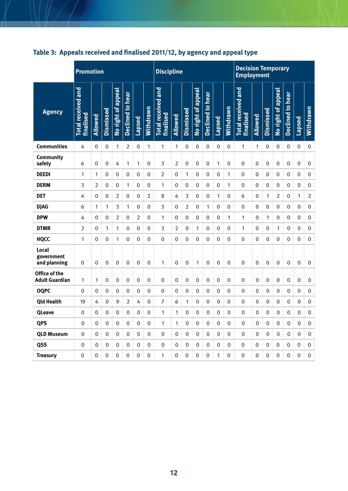|                                        | <b>Promotion</b>                       |                |                  |                    |                  |        |             | <b>Discipline</b>                      |                |                  |                    |                  |               |             | <b>Decision Temporary</b><br><b>Employment</b> |         |                  |                    |                         |             |                  |
|----------------------------------------|----------------------------------------|----------------|------------------|--------------------|------------------|--------|-------------|----------------------------------------|----------------|------------------|--------------------|------------------|---------------|-------------|------------------------------------------------|---------|------------------|--------------------|-------------------------|-------------|------------------|
| <b>Agency</b>                          | <b>Total received and</b><br>finalised | Allowed        | <b>Dismissed</b> | No right of appeal | Declined to hear | Lapsed | Withdrawn   | <b>Total received and</b><br>finalised | Allowed        | <b>Dismissed</b> | No right of appeal | Declined to hear | <b>Lapsed</b> | Withdrawn   | <b>Total received and</b><br>finalised         | Allowed | <b>Dismissed</b> | No right of appeal | <b>Declined to hear</b> | Lapsed      | Withdrawn        |
| <b>Communities</b>                     | 4                                      | 0              | 0                | 1                  | 2                | 0      | 1           | $\mathbf{1}$                           | 1              | $\mathbf 0$      | $\mathbf 0$        | 0                | $\mathbf 0$   | 0           | 1                                              | 1       | 0                | 0                  | $\pmb{0}$               | 0           | 0                |
| Community<br>safety                    | 6                                      | $\mathbf 0$    | $\mathbf 0$      | 4                  | 1                | 1      | 0           | 3                                      | $\overline{2}$ | $\mathbf 0$      | $\mathbf 0$        | $\pmb{0}$        | 1             | 0           | 0                                              | 0       | 0                | 0                  | $\boldsymbol{0}$        | $\mathbf 0$ | $\mbox{O}$       |
| <b>DEEDI</b>                           | 1                                      | $\mathbf{1}$   | $\mathbf 0$      | $\mathbf 0$        | 0                | 0      | $\mathbf 0$ | $\overline{2}$                         | 0              | $\mathbf{1}$     | $\mathbf 0$        | $\boldsymbol{0}$ | 0             | 1           | 0                                              | 0       | 0                | 0                  | $\mathbf 0$             | $\mathbf 0$ | $\boldsymbol{0}$ |
| <b>DERM</b>                            | 3                                      | $\overline{2}$ | 0                | 0                  | 1                | 0      | 0           | 1                                      | 0              | 0                | 0                  | 0                | 0             | 1           | 0                                              | 0       | 0                | 0                  | 0                       | 0           | 0                |
| <b>DET</b>                             | 4                                      | 0              | 0                | 2                  | 0                | 0      | 2           | 8                                      | 4              | 3                | 0                  | 0                | 1             | 0           | 6                                              | 0       | 1                | 2                  | 0                       | 1           | $\overline{2}$   |
| <b>DJAG</b>                            | 6                                      | 1              | 1                | 3                  | 1                | 0      | 0           | 3                                      | 0              | $\overline{2}$   | 0                  | 1                | 0             | 0           | 0                                              | 0       | 0                | 0                  | 0                       | $\mathbf 0$ | 0                |
| <b>DPW</b>                             | 4                                      | 0              | 0                | $\overline{2}$     | 0                | 2      | 0           | $\mathbf{1}$                           | 0              | $\mathbf 0$      | 0                  | 0                | 0             | 1           | 1                                              | 0       | 1                | 0                  | 0                       | 0           | 0                |
| <b>DTMR</b>                            | $\overline{2}$                         | 0              | 1                | 1                  | 0                | 0      | 0           | 3                                      | 2              | 0                | 1                  | 0                | 0             | 0           | 1                                              | 0       | 0                | 1                  | 0                       | 0           | $\mathbf 0$      |
| <b>HQCC</b>                            | 1                                      | 0              | $\mathbf 0$      | 1                  | 0                | 0      | 0           | 0                                      | 0              | 0                | $\mathbf 0$        | 0                | 0             | 0           | 0                                              | 0       | 0                | 0                  | 0                       | $\mathbf 0$ | $\pmb{0}$        |
| Local<br>government<br>and planning    | 0                                      | $\pmb{0}$      | $\mathbf 0$      | 0                  | 0                | 0      | $\mathbf 0$ | $\mathbf{1}$                           | 0              | $\mathbf 0$      | 1                  | 0                | 0             | 0           | 0                                              | 0       | $\mathbf 0$      | $\mathbf 0$        | $\boldsymbol{0}$        | $\mathbf 0$ | $\pmb{0}$        |
| Office of the<br><b>Adult Guardian</b> | 1                                      | 1              | 0                | 0                  | 0                | 0      | 0           | $\boldsymbol{0}$                       | 0              | 0                | 0                  | $\mathbf 0$      | 0             | 0           | 0                                              | 0       | 0                | 0                  | 0                       | 0           | 0                |
| <b>OQPC</b>                            | $\mathbf 0$                            | 0              | 0                | 0                  | 0                | 0      | 0           | $\mathbf 0$                            | 0              | 0                | $\mathbf 0$        | 0                | 0             | 0           | 0                                              | 0       | 0                | 0                  | 0                       | $\mathbf 0$ | 0                |
| <b>Qld Health</b>                      | 19                                     | 4              | 0                | 9                  | 2                | 4      | 0           | 7                                      | 6              | 1                | 0                  | 0                | 0             | 0           | 0                                              | 0       | 0                | 0                  | 0                       | 0           | $\mbox{O}$       |
| <b>QLeave</b>                          | 0                                      | 0              | 0                | 0                  | 0                | 0      | 0           | 1                                      | 1              | 0                | 0                  | 0                | 0             | 0           | 0                                              | 0       | 0                | 0                  | 0                       | 0           | 0                |
| <b>QPS</b>                             | 0                                      | $\mathbf 0$    | 0                | $\pmb{0}$          | 0                | 0      | $\mathbf 0$ | $\mathbf{1}$                           | 1              | 0                | $\mathbf 0$        | $\pmb{0}$        | 0             | 0           | 0                                              | 0       | 0                | 0                  | $\pmb{0}$               | $\mathbf 0$ | $\mathbf 0$      |
| <b>QLD Museum</b>                      | 0                                      | 0              | 0                | 0                  | 0                | 0      | 0           | 0                                      | 0              | 0                | 0                  | 0                | 0             | 0           | 0                                              | 0       | 0                | 0                  | 0                       | 0           | 0                |
| <b>OSS</b>                             | 0                                      | 0              | 0                | 0                  | 0                | 0      | 0           | 0                                      | 0              | 0                | 0                  | 0                | 0             | $\mathbf 0$ | 0                                              | 0       | 0                | 0                  | 0                       | 0           | 0                |
| <b>Treasury</b>                        | 0                                      | $\mathbf 0$    | 0                | 0                  | 0                | 0      | 0           | 1                                      | 0              | $\mathbf 0$      | $\mathbf 0$        | 0                | 1             | 0           | $\mathbf 0$                                    | 0       | 0                | 0                  | 0                       | 0           | 0                |

### <span id="page-11-0"></span>**Table 3: Appeals received and finalised 2011/12, by agency and appeal type**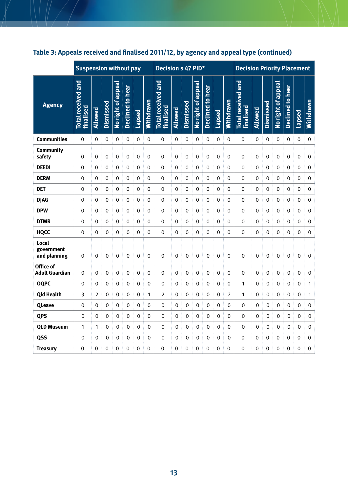|                                     | <b>Suspension without pay</b>                 |             |                  |                    |                         |        |                | <b>Decision s 47 PID*</b>              |             |             |                    |                  |        |             | <b>Decision Priority Placement</b>     |             |                  |                    |                  |                  |                  |
|-------------------------------------|-----------------------------------------------|-------------|------------------|--------------------|-------------------------|--------|----------------|----------------------------------------|-------------|-------------|--------------------|------------------|--------|-------------|----------------------------------------|-------------|------------------|--------------------|------------------|------------------|------------------|
| <b>Agency</b>                       | <b>Total received and</b><br><b>finalised</b> | Allowed     | <b>Dismissed</b> | No right of appeal | <b>Declined to hear</b> | Lapsed | Withdrawn      | <b>Total received and</b><br>finalised | Allowed     | Dismissed   | No right of appeal | Declined to hear | Lapsed | Withdrawn   | <b>Total received and</b><br>finalised | Allowed     | <b>Dismissed</b> | No right of appeal | Declined to hear | Lapsed           | Withdrawn        |
| <b>Communities</b>                  | $\Omega$                                      | $\Omega$    | 0                | 0                  | 0                       | 0      | 0              | 0                                      | 0           | 0           | 0                  | 0                | 0      | 0           | $\Omega$                               | 0           | 0                | 0                  | 0                | 0                | 0                |
| Community<br>safety                 | $\boldsymbol{0}$                              | $\mathbf 0$ | $\mathbf 0$      | $\boldsymbol{0}$   | $\mathbf 0$             | 0      | $\mathbf 0$    | $\boldsymbol{0}$                       | 0           | $\mathbf 0$ | $\mathbf 0$        | $\boldsymbol{0}$ | 0      | 0           | $\boldsymbol{0}$                       | 0           | 0                | $\mathbf 0$        | $\boldsymbol{0}$ | $\mathbf 0$      | 0                |
| <b>DEEDI</b>                        | 0                                             | 0           | 0                | 0                  | 0                       | 0      | 0              | 0                                      | 0           | 0           | 0                  | 0                | 0      | 0           | 0                                      | 0           | 0                | 0                  | 0                | 0                | 0                |
| <b>DERM</b>                         | 0                                             | 0           | 0                | 0                  | 0                       | 0      | 0              | 0                                      | 0           | 0           | 0                  | 0                | 0      | 0           | 0                                      | 0           | 0                | 0                  | 0                | 0                | $\boldsymbol{0}$ |
| <b>DET</b>                          | 0                                             | $\mathbf 0$ | 0                | 0                  | 0                       | 0      | 0              | $\mathbf 0$                            | 0           | 0           | 0                  | 0                | 0      | 0           | 0                                      | 0           | 0                | 0                  | 0                | 0                | $\boldsymbol{0}$ |
| <b>DJAG</b>                         | $\mathbf{0}$                                  | $\Omega$    | 0                | 0                  | 0                       | 0      | 0              | 0                                      | 0           | 0           | 0                  | 0                | 0      | 0           | $\Omega$                               | 0           | 0                | 0                  | 0                | $\mathbf 0$      | $\mathbf 0$      |
| <b>DPW</b>                          | 0                                             | 0           | 0                | 0                  | 0                       | 0      | 0              | 0                                      | 0           | 0           | 0                  | 0                | 0      | 0           | 0                                      | 0           | 0                | 0                  | 0                | 0                | 0                |
| <b>DTMR</b>                         | 0                                             | 0           | 0                | 0                  | 0                       | 0      | 0              | 0                                      | 0           | 0           | 0                  | 0                | 0      | 0           | 0                                      | 0           | 0                | 0                  | 0                | 0                | 0                |
| <b>HQCC</b>                         | 0                                             | 0           | 0                | 0                  | 0                       | 0      | 0              | 0                                      | 0           | 0           | 0                  | 0                | 0      | 0           | 0                                      | 0           | 0                | 0                  | 0                | 0                | $\boldsymbol{0}$ |
| Local<br>government<br>and planning | 0                                             | 0           | 0                | 0                  | 0                       | 0      | 0              | $\boldsymbol{0}$                       | 0           | $\mathbf 0$ | 0                  | 0                | 0      | $\mathbf 0$ | 0                                      | $\mathbf 0$ | 0                | 0                  | 0                | $\mathbf 0$      | $\mathbf 0$      |
| Office of<br><b>Adult Guardian</b>  | 0                                             | $\mathbf 0$ | $\mathbf 0$      | $\boldsymbol{0}$   | 0                       | 0      | $\mathbf 0$    | $\mbox{O}$                             | $\mathbf 0$ | $\mathbf 0$ | $\boldsymbol{0}$   | $\boldsymbol{0}$ | 0      | 0           | 0                                      | $\mathbf 0$ | $\mathbf 0$      | $\mathbf 0$        | $\boldsymbol{0}$ | $\boldsymbol{0}$ | 0                |
| <b>OQPC</b>                         | 0                                             | 0           | 0                | 0                  | 0                       | 0      | 0              | 0                                      | 0           | 0           | 0                  | 0                | 0      | 0           | 1                                      | 0           | 0                | 0                  | 0                | 0                | 1                |
| <b>Qld Health</b>                   | 3                                             | 2           | 0                | 0                  | 0                       | 0      | 1              | 2                                      | 0           | 0           | 0                  | 0                | 0      | 2           | $\mathbf{1}$                           | 0           | 0                | 0                  | 0                | 0                | 1                |
| <b>QLeave</b>                       | 0                                             | 0           | 0                | 0                  | 0                       | 0      | 0              | 0                                      | 0           | 0           | 0                  | 0                | 0      | 0           | 0                                      | $\mathbf 0$ | 0                | 0                  | $\mathbf 0$      | 0                | 0                |
| <b>QPS</b>                          | 0                                             | 0           | 0                | 0                  | 0                       | 0      | 0              | 0                                      | 0           | 0           | 0                  | 0                | 0      | 0           | 0                                      | 0           | 0                | 0                  | $\mathbf 0$      | 0                | 0                |
| <b>QLD Museum</b>                   | 1                                             | 1           | 0                | 0                  | 0                       | 0      | 0              | 0                                      | 0           | 0           | 0                  | 0                | 0      | 0           | 0                                      | $\mathbf 0$ | 0                | 0                  | $\mathbf 0$      | 0                | 0                |
| QSS                                 | 0                                             | 0           | 0                | 0                  | 0                       | 0      | 0              | 0                                      | 0           | 0           | 0                  | 0                | 0      | 0           | 0                                      | 0           | 0                | 0                  | 0                | 0                | 0                |
| <b>Treasury</b>                     | $\overline{0}$                                | $\Omega$    | $\Omega$         | $\mathbf{0}$       | 0                       | 0      | $\overline{0}$ | $\Omega$                               | $\Omega$    | 0           | $\Omega$           | $\mathbf{0}$     | 0      | 0           | $\mathbf{0}$                           | 0           | 0                | 0                  | $\mathbf 0$      | $\Omega$         | $\mathbf{0}$     |

### **Table 3: Appeals received and finalised 2011/12, by agency and appeal type (continued)**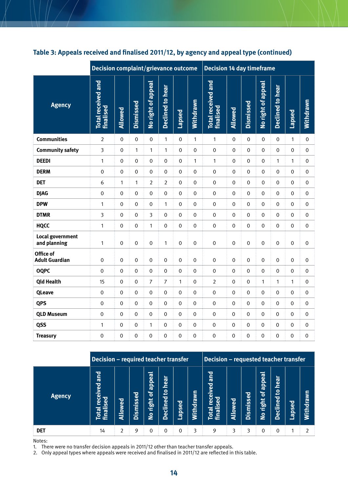|                                    | Decision complaint/grievance outcome          |             |                  |                    |                  |             |                  | <b>Decision 14 day timeframe</b>       |                  |                  |                    |                  |                  |                  |  |
|------------------------------------|-----------------------------------------------|-------------|------------------|--------------------|------------------|-------------|------------------|----------------------------------------|------------------|------------------|--------------------|------------------|------------------|------------------|--|
| <b>Agency</b>                      | <b>Total received and</b><br><b>finalised</b> | Allowed     | Dismissed        | No right of appeal | Declined to hear | Lapsed      | Withdrawn        | <b>Total received and</b><br>finalised | Allowed          | Dismissed        | No right of appeal | Declined to hear | Lapsed           | Withdrawn        |  |
| <b>Communities</b>                 | $\overline{2}$                                | 0           | $\mathbf 0$      | $\mathbf 0$        | 1                | $\pmb{0}$   | 1                | 1                                      | $\mathbf 0$      | $\mathbf 0$      | $\pmb{0}$          | $\mathbf 0$      | 1                | 0                |  |
| <b>Community safety</b>            | 3                                             | $\mathbf 0$ | $\mathbf{1}$     | 1                  | 1                | 0           | $\boldsymbol{0}$ | $\mathbf 0$                            | $\mathbf 0$      | $\mathbf 0$      | 0                  | $\boldsymbol{0}$ | $\mathbf 0$      | $\boldsymbol{0}$ |  |
| <b>DEEDI</b>                       | 1                                             | $\mathbf 0$ | $\mathbf 0$      | 0                  | $\mathbf 0$      | 0           | 1                | $\mathbf{1}$                           | 0                | $\mathbf 0$      | 0                  | 1                | $\mathbf{1}$     | $\mathbf 0$      |  |
| <b>DERM</b>                        | $\boldsymbol{0}$                              | $\mathbf 0$ | $\mathbf 0$      | $\mathbf 0$        | $\mathbf 0$      | 0           | $\mathbf 0$      | $\boldsymbol{0}$                       | $\mathbf 0$      | $\mathbf 0$      | 0                  | $\mathbf 0$      | $\mathbf 0$      | $\pmb{0}$        |  |
| <b>DET</b>                         | 6                                             | 1           | 1                | 2                  | $\overline{2}$   | 0           | $\boldsymbol{0}$ | $\boldsymbol{0}$                       | $\mathbf 0$      | $\mathbf 0$      | 0                  | $\mathbf 0$      | $\mathbf 0$      | 0                |  |
| <b>DJAG</b>                        | $\boldsymbol{0}$                              | $\mathbf 0$ | $\mathbf 0$      | 0                  | $\mathbf 0$      | 0           | $\mathbf 0$      | $\boldsymbol{0}$                       | 0                | $\mathbf 0$      | 0                  | $\mathbf 0$      | $\mathbf 0$      | $\boldsymbol{0}$ |  |
| <b>DPW</b>                         | 1                                             | $\mathbf 0$ | $\mathbf 0$      | 0                  | $\mathbf{1}$     | 0           | 0                | $\boldsymbol{0}$                       | 0                | $\mathbf 0$      | 0                  | $\mathbf 0$      | 0                | 0                |  |
| <b>DTMR</b>                        | 3                                             | $\mathbf 0$ | $\mathbf 0$      | 3                  | $\mathbf 0$      | 0           | 0                | $\boldsymbol{0}$                       | $\mathbf 0$      | $\mathbf 0$      | 0                  | $\mathbf 0$      | 0                | $\boldsymbol{0}$ |  |
| <b>HQCC</b>                        | 1                                             | $\mathbf 0$ | $\mathbf 0$      | 1                  | $\mathbf 0$      | 0           | $\pmb{0}$        | $\boldsymbol{0}$                       | 0                | $\mathbf 0$      | 0                  | $\mathbf 0$      | $\pmb{0}$        | $\boldsymbol{0}$ |  |
| Local government<br>and planning   | $\mathbf{1}$                                  | $\mathbf 0$ | $\boldsymbol{0}$ | $\mathbf 0$        | $\mathbf{1}$     | $\mathbf 0$ | $\boldsymbol{0}$ | $\mathbf 0$                            | $\boldsymbol{0}$ | $\boldsymbol{0}$ | $\mathbf 0$        | $\boldsymbol{0}$ | $\boldsymbol{0}$ | $\boldsymbol{0}$ |  |
| Office of<br><b>Adult Guardian</b> | $\mathbf 0$                                   | $\mathbf 0$ | $\mathbf 0$      | $\mathbf 0$        | $\mathbf 0$      | $\mathbf 0$ | $\mathbf 0$      | $\mbox{O}$                             | $\mathbf 0$      | $\mathbf 0$      | 0                  | $\mathbf 0$      | $\mathbf 0$      | $\mathbf 0$      |  |
| <b>OQPC</b>                        | $\mathbf 0$                                   | 0           | $\mathbf 0$      | 0                  | $\mathbf 0$      | 0           | $\pmb{0}$        | $\mathbf 0$                            | 0                | $\mathbf 0$      | 0                  | $\mathbf 0$      | $\boldsymbol{0}$ | $\boldsymbol{0}$ |  |
| <b>Qld Health</b>                  | 15                                            | 0           | 0                | $\overline{7}$     | $\overline{7}$   | 1           | $\Omega$         | $\overline{2}$                         | 0                | $\Omega$         | 1                  | 1                | 1                | $\mathbf 0$      |  |
| <b>QLeave</b>                      | $\mathbf 0$                                   | 0           | 0                | 0                  | 0                | 0           | 0                | $\mathbf 0$                            | 0                | 0                | 0                  | 0                | 0                | $\mathbf 0$      |  |
| <b>QPS</b>                         | $\mathbf 0$                                   | 0           | $\mathbf 0$      | 0                  | $\mathbf 0$      | 0           | 0                | $\mathbf 0$                            | 0                | 0                | 0                  | $\mathbf{0}$     | 0                | $\mathbf 0$      |  |
| <b>QLD Museum</b>                  | $\pmb{0}$                                     | 0           | $\mathbf 0$      | 0                  | 0                | 0           | 0                | 0                                      | 0                | 0                | 0                  | $\mathbf 0$      | 0                | $\mathbf 0$      |  |
| QSS                                | 1                                             | 0           | 0                | 1                  | 0                | 0           | 0                | 0                                      | 0                | 0                | 0                  | 0                | 0                | 0                |  |
| <b>Treasury</b>                    | 0                                             | 0           | 0                | 0                  | 0                | 0           | 0                | 0                                      | 0                | 0                | 0                  | $\mathbf 0$      | 0                | $\mathbf 0$      |  |

#### **Table 3: Appeals received and finalised 2011/12, by agency and appeal type (continued)**

|               | Decision - required teacher transfer                |               |           |                                                      |                                      |          | <b>Decision – requested teacher transfer</b> |                                                                   |         |               |                                                                                           |                                                                     |               |                  |
|---------------|-----------------------------------------------------|---------------|-----------|------------------------------------------------------|--------------------------------------|----------|----------------------------------------------|-------------------------------------------------------------------|---------|---------------|-------------------------------------------------------------------------------------------|---------------------------------------------------------------------|---------------|------------------|
| <b>Agency</b> | <b>Due</b><br>eceived<br>ಕೃ<br>ū<br>finali<br>Total | Allowed       | Dismissed | <b>appeal</b><br>្ង<br>right<br>$\tilde{\mathbf{z}}$ | hear<br>$\mathbf{S}$<br>eclined<br>Ŏ | Lapsed   | Ş<br>ā<br>ਚ<br>Nith                          | <b>Due</b><br>eived<br><b>Sed</b><br>မ္မ<br><b>Tinaii</b><br>lota | Allowed | ismissed<br>≏ | <b>ppeal</b><br>$\mathbf{\overline{d}}$<br>$\leftarrow$<br>Ó<br><u>ia</u><br>$\mathsf{S}$ | hear<br>೭<br>ਰ<br>$\tilde{\mathbf{Q}}$<br>eclin<br>$\triangleright$ | <b>pascie</b> | <b>Withdrawn</b> |
| <b>DET</b>    | 14                                                  | $\mathcal{P}$ | 9         | 0                                                    | 0                                    | $\Omega$ | 3                                            | 9                                                                 |         |               | 0                                                                                         | 0                                                                   |               |                  |

Notes:

1. There were no transfer decision appeals in 2011/12 other than teacher transfer appeals.

2. Only appeal types where appeals were received and finalised in 2011/12 are reflected in this table.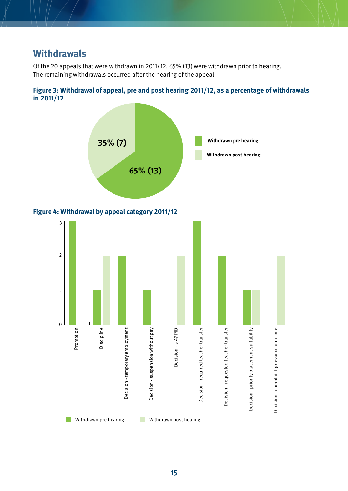### <span id="page-14-0"></span>**Withdrawals**

Of the 20 appeals that were withdrawn in 2011/12, 65% (13) were withdrawn prior to hearing. The remaining withdrawals occurred after the hearing of the appeal.





#### **Figure 4: Withdrawal by appeal category 2011/12**

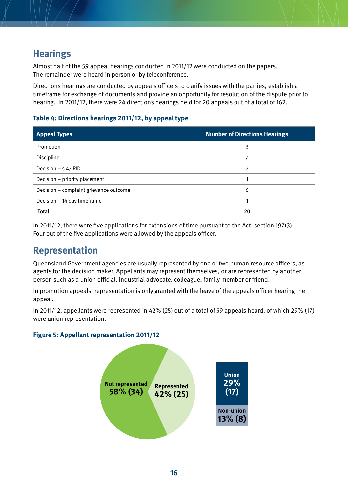# <span id="page-15-0"></span>**Hearings**

Almost half of the 59 appeal hearings conducted in 2011/12 were conducted on the papers. The remainder were heard in person or by teleconference.

Directions hearings are conducted by appeals officers to clarify issues with the parties, establish a timeframe for exchange of documents and provide an opportunity for resolution of the dispute prior to hearing. In 2011/12, there were 24 directions hearings held for 20 appeals out of a total of 162.

#### **Table 4: Directions hearings 2011/12, by appeal type**

| <b>Appeal Types</b>                    | <b>Number of Directions Hearings</b> |
|----------------------------------------|--------------------------------------|
| Promotion                              | 3                                    |
| Discipline                             |                                      |
| Decision - s 47 PID                    | 2                                    |
| Decision – priority placement          |                                      |
| Decision - complaint grievance outcome | 6                                    |
| Decision - 14 day timeframe            |                                      |
| <b>Total</b>                           | 20                                   |

In 2011/12, there were five applications for extensions of time pursuant to the Act, section 197(3). Four out of the five applications were allowed by the appeals officer.

### **Representation**

Queensland Government agencies are usually represented by one or two human resource officers, as agents for the decision maker. Appellants may represent themselves, or are represented by another person such as a union official, industrial advocate, colleague, family member or friend.

In promotion appeals, representation is only granted with the leave of the appeals officer hearing the appeal.

In 2011/12, appellants were represented in 42% (25) out of a total of 59 appeals heard, of which 29% (17) were union representation.

#### **Figure 5: Appellant representation 2011/12**

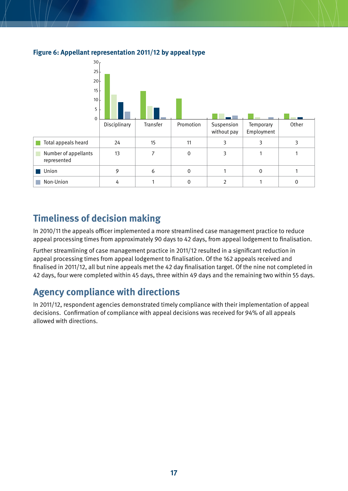

#### <span id="page-16-0"></span>**Figure 6: Appellant representation 2011/12 by appeal type**

# **Timeliness of decision making**

In 2010/11 the appeals officer implemented a more streamlined case management practice to reduce appeal processing times from approximately 90 days to 42 days, from appeal lodgement to finalisation.

Further streamlining of case management practice in 2011/12 resulted in a significant reduction in appeal processing times from appeal lodgement to finalisation. Of the 162 appeals received and finalised in 2011/12, all but nine appeals met the 42 day finalisation target. Of the nine not completed in 42 days, four were completed within 45 days, three within 49 days and the remaining two within 55 days.

# **Agency compliance with directions**

In 2011/12, respondent agencies demonstrated timely compliance with their implementation of appeal decisions. Confirmation of compliance with appeal decisions was received for 94% of all appeals allowed with directions.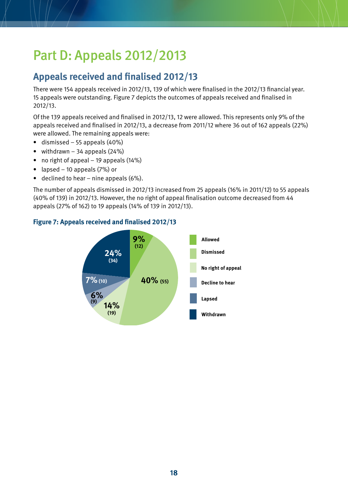# <span id="page-17-0"></span>Part D: Appeals 2012/2013

# **Appeals received and finalised 2012/13**

There were 154 appeals received in 2012/13, 139 of which were finalised in the 2012/13 financial year. 15 appeals were outstanding. Figure 7 depicts the outcomes of appeals received and finalised in 2012/13.

Of the 139 appeals received and finalised in 2012/13, 12 were allowed. This represents only 9% of the appeals received and finalised in 2012/13, a decrease from 2011/12 where 36 out of 162 appeals (22%) were allowed. The remaining appeals were:

- dismissed  $-55$  appeals (40%)
- withdrawn  $-34$  appeals (24%)
- no right of appeal 19 appeals  $(14%)$
- lapsed  $-10$  appeals  $(7%)$  or
- $\bullet$  declined to hear nine appeals (6%).

The number of appeals dismissed in 2012/13 increased from 25 appeals (16% in 2011/12) to 55 appeals (40% of 139) in 2012/13. However, the no right of appeal finalisation outcome decreased from 44 appeals (27% of 162) to 19 appeals (14% of 139 in 2012/13).



#### **Figure 7: Appeals received and finalised 2012/13**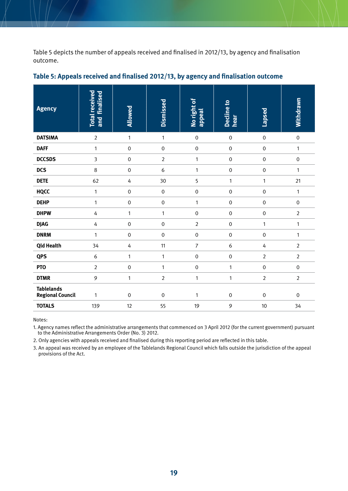<span id="page-18-0"></span>Table 5 depicts the number of appeals received and finalised in 2012/13, by agency and finalisation outcome.

| <b>Agency</b>                                | <b>Total received</b><br>and finalised | Allowed          | <b>Dismissed</b> | No right of<br>appeal | <b>Decline to</b><br>hear | Lapsed           | Withdrawn        |
|----------------------------------------------|----------------------------------------|------------------|------------------|-----------------------|---------------------------|------------------|------------------|
| <b>DATSIMA</b>                               | $\overline{2}$                         | $\mathbf{1}$     | $\mathbf{1}$     | $\mathbf 0$           | $\boldsymbol{0}$          | $\mbox{O}$       | $\mathbf 0$      |
| <b>DAFF</b>                                  | $\mathbf{1}$                           | $\boldsymbol{0}$ | $\boldsymbol{0}$ | $\pmb{0}$             | $\boldsymbol{0}$          | $\boldsymbol{0}$ | $\mathbf{1}$     |
| <b>DCCSDS</b>                                | $\overline{3}$                         | $\mathbf 0$      | $\overline{2}$   | $\mathbf{1}$          | $\mathbf 0$               | $\boldsymbol{0}$ | $\mathbf 0$      |
| <b>DCS</b>                                   | $\,8\,$                                | $\boldsymbol{0}$ | 6                | $\mathbf{1}$          | $\boldsymbol{0}$          | $\boldsymbol{0}$ | $\mathbf{1}$     |
| <b>DETE</b>                                  | 62                                     | 4                | 30               | 5                     | $\mathbf{1}$              | $\mathbf{1}$     | 21               |
| <b>HQCC</b>                                  | $\mathbf{1}$                           | $\boldsymbol{0}$ | $\mbox{O}$       | $\mathbf 0$           | $\boldsymbol{0}$          | $\boldsymbol{0}$ | $\mathbf{1}$     |
| <b>DEHP</b>                                  | $\mathbf{1}$                           | $\boldsymbol{0}$ | $\mbox{O}$       | $\mathbf{1}$          | $\boldsymbol{0}$          | $\boldsymbol{0}$ | $\mathbf 0$      |
| <b>DHPW</b>                                  | 4                                      | 1                | $\mathbf{1}$     | $\pmb{0}$             | $\boldsymbol{0}$          | $\boldsymbol{0}$ | $\overline{2}$   |
| <b>DJAG</b>                                  | 4                                      | $\boldsymbol{0}$ | $\mbox{O}$       | $\overline{2}$        | $\boldsymbol{0}$          | $\mathbf{1}$     | $\mathbf{1}$     |
| <b>DNRM</b>                                  | $\mathbf{1}$                           | $\boldsymbol{0}$ | $\mbox{O}$       | $\mathbf 0$           | $\boldsymbol{0}$          | $\boldsymbol{0}$ | $\mathbf{1}$     |
| <b>Qld Health</b>                            | 34                                     | 4                | 11               | $\overline{7}$        | $\boldsymbol{6}$          | 4                | $\overline{2}$   |
| <b>QPS</b>                                   | 6                                      | 1                | $\mathbf{1}$     | $\pmb{0}$             | $\boldsymbol{0}$          | $\overline{2}$   | $\overline{2}$   |
| <b>PTO</b>                                   | $\overline{2}$                         | $\boldsymbol{0}$ | $\mathbf{1}$     | $\boldsymbol{0}$      | 1                         | $\boldsymbol{0}$ | $\boldsymbol{0}$ |
| <b>DTMR</b>                                  | 9                                      | $\mathbf{1}$     | $\overline{2}$   | $\mathbf{1}$          | $\mathbf{1}$              | $\overline{2}$   | $\overline{2}$   |
| <b>Tablelands</b><br><b>Regional Council</b> | 1                                      | $\boldsymbol{0}$ | $\mbox{O}$       | 1                     | $\boldsymbol{0}$          | $\boldsymbol{0}$ | $\boldsymbol{0}$ |
| <b>TOTALS</b>                                | 139                                    | 12               | 55               | 19                    | 9                         | 10               | 34               |

#### **Table 5: Appeals received and finalised 2012/13, by agency and finalisation outcome**

Notes:

1. Agency names reflect the administrative arrangements that commenced on 3 April 2012 (for the current government) pursuant to the Administrative Arrangements Order (No. 3) 2012.

2. Only agencies with appeals received and finalised during this reporting period are reflected in this table.

3. An appeal was received by an employee of the Tablelands Regional Council which falls outside the jurisdiction of the appeal provisions of the Act.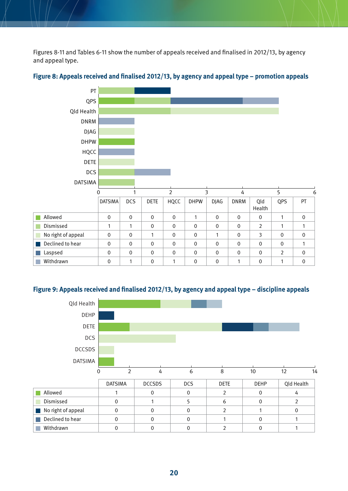<span id="page-19-0"></span>Figures 8-11 and Tables 6-11 show the number of appeals received and finalised in 2012/13, by agency and appeal type.



#### **Figure 8: Appeals received and finalised 2012/13, by agency and appeal type – promotion appeals**

#### **Figure 9: Appeals received and finalised 2012/13, by agency and appeal type – discipline appeals**

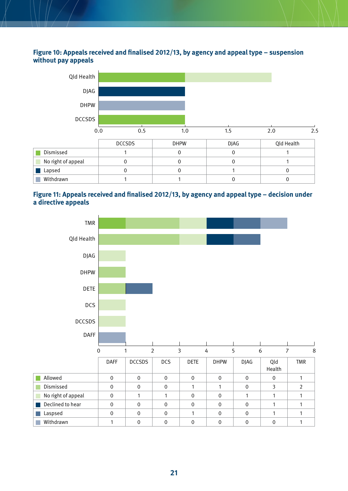#### <span id="page-20-0"></span>**Figure 10: Appeals received and finalised 2012/13, by agency and appeal type – suspension without pay appeals**



#### **Figure 11: Appeals received and finalised 2012/13, by agency and appeal type – decision under a directive appeals**

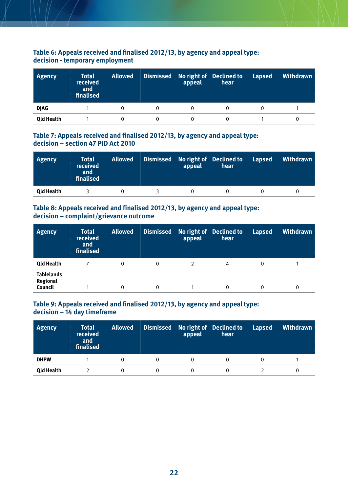#### <span id="page-21-0"></span>**Table 6: Appeals received and finalised 2012/13, by agency and appeal type: decision - temporary employment**

| Agency            | <b>Total</b><br>received<br>and<br>finalised | <b>Allowed</b> | appeal | Dismissed   No right of   Declined to   <br>hear | <b>Lapsed</b> | Withdrawn |
|-------------------|----------------------------------------------|----------------|--------|--------------------------------------------------|---------------|-----------|
| <b>DJAG</b>       |                                              |                |        |                                                  |               |           |
| <b>Qld Health</b> |                                              |                |        |                                                  |               |           |

#### **Table 7: Appeals received and finalised 2012/13, by agency and appeal type: decision – section 47 PID Act 2010**

| <b>Agency</b>     | <b>Total</b><br>received<br>and<br>finalised | <b>Allowed</b> | appeal | Dismissed   No right of   Declined to  <br>hear | <b>Lapsed</b> | Withdrawn |
|-------------------|----------------------------------------------|----------------|--------|-------------------------------------------------|---------------|-----------|
| <b>Qld Health</b> |                                              |                |        |                                                 |               |           |

#### **Table 8: Appeals received and finalised 2012/13, by agency and appeal type: decision – complaint/grievance outcome**

| <b>Agency</b>                                   | <b>Total</b><br>received<br>and<br>finalised | <b>Allowed</b> | Dismissed | appeal | No right of Declined to<br>hear | <b>Lapsed</b> | Withdrawn |
|-------------------------------------------------|----------------------------------------------|----------------|-----------|--------|---------------------------------|---------------|-----------|
| <b>Qld Health</b>                               |                                              | 0              | 0         |        | 4                               | 0             |           |
| <b>Tablelands</b><br><b>Regional</b><br>Council |                                              | 0              | 0         |        |                                 | 0             | 0         |

#### **Table 9: Appeals received and finalised 2012/13, by agency and appeal type: decision – 14 day timeframe**

| <b>Agency</b>     | <b>Total</b><br>received<br>and<br>finalised | <b>Allowed</b> | appeal | Dismissed   No right of   Declined to  <br>hear | <b>Lapsed</b> | Withdrawn |
|-------------------|----------------------------------------------|----------------|--------|-------------------------------------------------|---------------|-----------|
| <b>DHPW</b>       |                                              |                |        |                                                 |               |           |
| <b>Qld Health</b> |                                              |                |        |                                                 |               |           |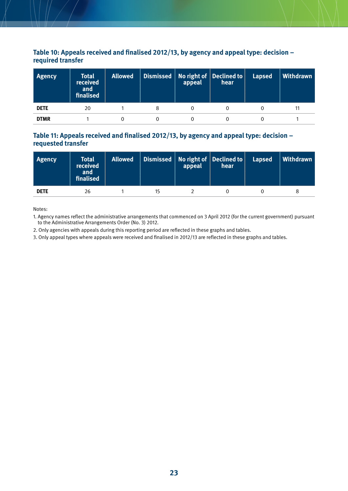#### <span id="page-22-0"></span>**Table 10: Appeals received and finalised 2012/13, by agency and appeal type: decision – required transfer**

| Agency      | <b>Total</b><br>received<br>and<br>finalised | <b>Allowed</b> | appeal | $\mid$ Dismissed $\mid$ No right of $\mid$ Declined to $\mid$<br>hear | <b>Lapsed</b> | Withdrawn |
|-------------|----------------------------------------------|----------------|--------|-----------------------------------------------------------------------|---------------|-----------|
| <b>DETE</b> | 20                                           |                |        |                                                                       |               |           |
| <b>DTMR</b> |                                              |                |        |                                                                       |               |           |

#### **Table 11: Appeals received and finalised 2012/13, by agency and appeal type: decision – requested transfer**

| <b>Agency</b> | Total<br>received<br>and<br>finalised | <b>Allowed</b> | appeal | Dismissed   No right of   Declined to   \<br>hear | Lapsed | <b>Withdrawn</b> |
|---------------|---------------------------------------|----------------|--------|---------------------------------------------------|--------|------------------|
| <b>DETE</b>   | 26                                    |                |        |                                                   |        |                  |

Notes:

1. Agency names reflect the administrative arrangements that commenced on 3 April 2012 (for the current government) pursuant to the Administrative Arrangements Order (No. 3) 2012.

2. Only agencies with appeals during this reporting period are reflected in these graphs and tables.

3. Only appeal types where appeals were received and finalised in 2012/13 are reflected in these graphs and tables.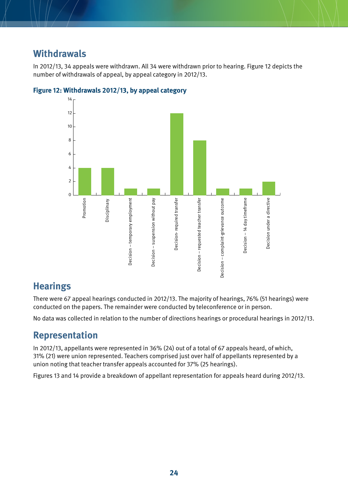### <span id="page-23-0"></span>**Withdrawals**

In 2012/13, 34 appeals were withdrawn. All 34 were withdrawn prior to hearing. Figure 12 depicts the number of withdrawals of appeal, by appeal category in 2012/13.



#### **Figure 12: Withdrawals 2012/13, by appeal category**

# **Hearings**

There were 67 appeal hearings conducted in 2012/13. The majority of hearings, 76% (51 hearings) were conducted on the papers. The remainder were conducted by teleconference or in person.

No data was collected in relation to the number of directions hearings or procedural hearings in 2012/13.

# **Representation**

In 2012/13, appellants were represented in 36% (24) out of a total of 67 appeals heard, of which, 31% (21) were union represented. Teachers comprised just over half of appellants represented by a union noting that teacher transfer appeals accounted for 37% (25 hearings).

Figures 13 and 14 provide a breakdown of appellant representation for appeals heard during 2012/13.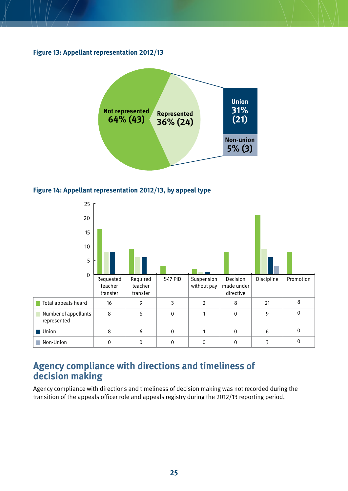<span id="page-24-0"></span>**Figure 13: Appellant representation 2012/13** 



**Figure 14: Appellant representation 2012/13, by appeal type** 



### **Agency compliance with directions and timeliness of decision making**

Agency compliance with directions and timeliness of decision making was not recorded during the transition of the appeals officer role and appeals registry during the 2012/13 reporting period.